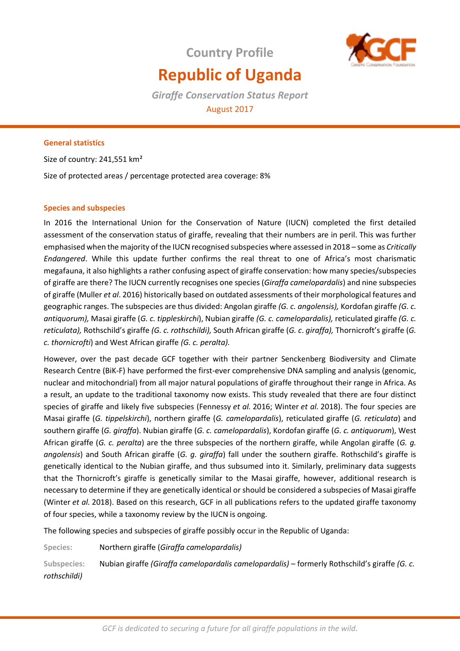# **Republic of Uganda**

**Country Profile**

*Giraffe Conservation Status Report*  August 2017

# **General statistics**

Size of country: 241,551 km²

Size of protected areas / percentage protected area coverage: 8%

## **Species and subspecies**

In 2016 the International Union for the Conservation of Nature (IUCN) completed the first detailed assessment of the conservation status of giraffe, revealing that their numbers are in peril. This was further emphasised when the majority of the IUCN recognised subspecies where assessed in 2018 – some as *Critically Endangered*. While this update further confirms the real threat to one of Africa's most charismatic megafauna, it also highlights a rather confusing aspect of giraffe conservation: how many species/subspecies of giraffe are there? The IUCN currently recognises one species (*Giraffa camelopardalis*) and nine subspecies of giraffe (Muller *et al*. 2016) historically based on outdated assessments of their morphological features and geographic ranges. The subspecies are thus divided: Angolan giraffe *(G. c. angolensis),* Kordofan giraffe *(G. c. antiquorum),* Masai giraffe (*G. c. tippleskirchi*), Nubian giraffe *(G. c. camelopardalis),* reticulated giraffe *(G. c. reticulata),* Rothschild's giraffe *(G. c. rothschildi),* South African giraffe (*G. c*. *giraffa),* Thornicroft's giraffe (*G. c. thornicrofti*) and West African giraffe *(G. c. peralta).* 

However, over the past decade GCF together with their partner Senckenberg Biodiversity and Climate Research Centre (BiK-F) have performed the first-ever comprehensive DNA sampling and analysis (genomic, nuclear and mitochondrial) from all major natural populations of giraffe throughout their range in Africa. As a result, an update to the traditional taxonomy now exists. This study revealed that there are four distinct species of giraffe and likely five subspecies (Fennessy *et al.* 2016; Winter *et al.* 2018). The four species are Masai giraffe (*G. tippelskirchi*), northern giraffe (*G. camelopardalis*), reticulated giraffe (*G. reticulata*) and southern giraffe (*G. giraffa*). Nubian giraffe (*G. c. camelopardalis*), Kordofan giraffe (*G. c. antiquorum*), West African giraffe (*G. c. peralta*) are the three subspecies of the northern giraffe, while Angolan giraffe (*G. g. angolensis*) and South African giraffe (*G. g. giraffa*) fall under the southern giraffe. Rothschild's giraffe is genetically identical to the Nubian giraffe, and thus subsumed into it. Similarly, preliminary data suggests that the Thornicroft's giraffe is genetically similar to the Masai giraffe, however, additional research is necessary to determine if they are genetically identical or should be considered a subspecies of Masai giraffe (Winter *et al.* 2018). Based on this research, GCF in all publications refers to the updated giraffe taxonomy of four species, while a taxonomy review by the IUCN is ongoing.

The following species and subspecies of giraffe possibly occur in the Republic of Uganda:

**Species:** Northern giraffe (*Giraffa camelopardalis)*

**Subspecies:** Nubian giraffe *(Giraffa camelopardalis camelopardalis)* – formerly Rothschild's giraffe *(G. c. rothschildi)*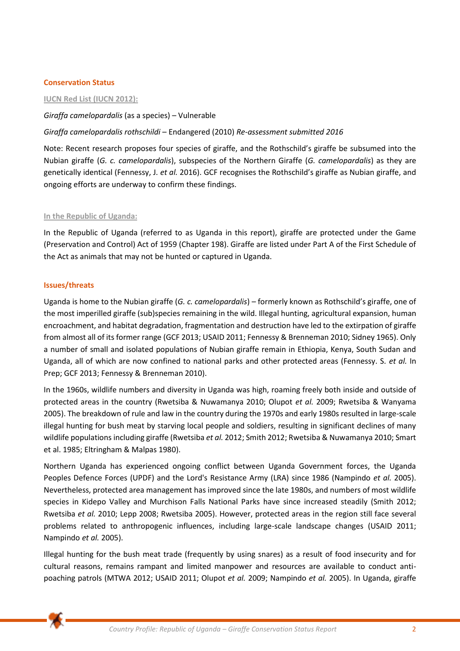### **Conservation Status**

### **IUCN Red List (IUCN 2012):**

# *Giraffa camelopardalis* (as a species) – Vulnerable

# *Giraffa camelopardalis rothschildi* – Endangered (2010) *Re-assessment submitted 2016*

Note: Recent research proposes four species of giraffe, and the Rothschild's giraffe be subsumed into the Nubian giraffe (*G. c. camelopardalis*), subspecies of the Northern Giraffe (*G. camelopardalis*) as they are genetically identical (Fennessy, J. *et al.* 2016). GCF recognises the Rothschild's giraffe as Nubian giraffe, and ongoing efforts are underway to confirm these findings.

#### **In the Republic of Uganda:**

In the Republic of Uganda (referred to as Uganda in this report), giraffe are protected under the Game (Preservation and Control) Act of 1959 (Chapter 198). Giraffe are listed under Part A of the First Schedule of the Act as animals that may not be hunted or captured in Uganda.

## **Issues/threats**

Uganda is home to the Nubian giraffe (*G. c. camelopardalis*) – formerly known as Rothschild's giraffe, one of the most imperilled giraffe (sub)species remaining in the wild. Illegal hunting, agricultural expansion, human encroachment, and habitat degradation, fragmentation and destruction have led to the extirpation of giraffe from almost all of its former range (GCF 2013; USAID 2011; Fennessy & Brenneman 2010; Sidney 1965). Only a number of small and isolated populations of Nubian giraffe remain in Ethiopia, Kenya, South Sudan and Uganda, all of which are now confined to national parks and other protected areas (Fennessy. S. *et al.* In Prep; GCF 2013; Fennessy & Brenneman 2010).

In the 1960s, wildlife numbers and diversity in Uganda was high, roaming freely both inside and outside of protected areas in the country (Rwetsiba & Nuwamanya 2010; Olupot *et al.* 2009; Rwetsiba & Wanyama 2005). The breakdown of rule and law in the country during the 1970s and early 1980s resulted in large-scale illegal hunting for bush meat by starving local people and soldiers, resulting in significant declines of many wildlife populations including giraffe (Rwetsiba *et al.* 2012; Smith 2012; Rwetsiba & Nuwamanya 2010; Smart et al. 1985; Eltringham & Malpas 1980).

Northern Uganda has experienced ongoing conflict between Uganda Government forces, the Uganda Peoples Defence Forces (UPDF) and the Lord's Resistance Army (LRA) since 1986 (Nampindo *et al.* 2005). Nevertheless, protected area management has improved since the late 1980s, and numbers of most wildlife species in Kidepo Valley and Murchison Falls National Parks have since increased steadily (Smith 2012; Rwetsiba *et al.* 2010; Lepp 2008; Rwetsiba 2005). However, protected areas in the region still face several problems related to anthropogenic influences, including large-scale landscape changes (USAID 2011; Nampindo *et al.* 2005).

Illegal hunting for the bush meat trade (frequently by using snares) as a result of food insecurity and for cultural reasons, remains rampant and limited manpower and resources are available to conduct antipoaching patrols (MTWA 2012; USAID 2011; Olupot *et al.* 2009; Nampindo *et al.* 2005). In Uganda, giraffe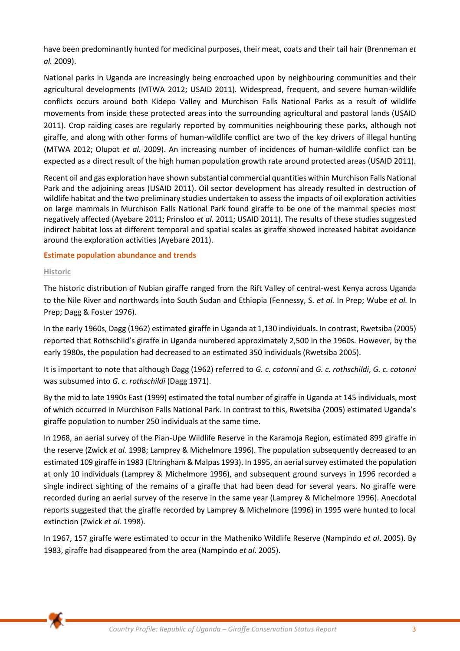have been predominantly hunted for medicinal purposes, their meat, coats and their tail hair (Brenneman *et al.* 2009).

National parks in Uganda are increasingly being encroached upon by neighbouring communities and their agricultural developments (MTWA 2012; USAID 2011). Widespread, frequent, and severe human-wildlife conflicts occurs around both Kidepo Valley and Murchison Falls National Parks as a result of wildlife movements from inside these protected areas into the surrounding agricultural and pastoral lands (USAID 2011). Crop raiding cases are regularly reported by communities neighbouring these parks, although not giraffe, and along with other forms of human-wildlife conflict are two of the key drivers of illegal hunting (MTWA 2012; Olupot *et al.* 2009). An increasing number of incidences of human-wildlife conflict can be expected as a direct result of the high human population growth rate around protected areas (USAID 2011).

Recent oil and gas exploration have shown substantial commercial quantities within Murchison Falls National Park and the adjoining areas (USAID 2011). Oil sector development has already resulted in destruction of wildlife habitat and the two preliminary studies undertaken to assess the impacts of oil exploration activities on large mammals in Murchison Falls National Park found giraffe to be one of the mammal species most negatively affected (Ayebare 2011; Prinsloo *et al.* 2011; USAID 2011). The results of these studies suggested indirect habitat loss at different temporal and spatial scales as giraffe showed increased habitat avoidance around the exploration activities (Ayebare 2011).

## **Estimate population abundance and trends**

#### **Historic**

The historic distribution of Nubian giraffe ranged from the Rift Valley of central-west Kenya across Uganda to the Nile River and northwards into South Sudan and Ethiopia (Fennessy, S. *et al.* In Prep; Wube *et al.* In Prep; Dagg & Foster 1976).

In the early 1960s, Dagg (1962) estimated giraffe in Uganda at 1,130 individuals. In contrast, Rwetsiba (2005) reported that Rothschild's giraffe in Uganda numbered approximately 2,500 in the 1960s. However, by the early 1980s, the population had decreased to an estimated 350 individuals (Rwetsiba 2005).

It is important to note that although Dagg (1962) referred to *G. c. cotonni* and *G. c. rothschildi*, *G. c. cotonni* was subsumed into *G. c. rothschildi* (Dagg 1971).

By the mid to late 1990s East (1999) estimated the total number of giraffe in Uganda at 145 individuals, most of which occurred in Murchison Falls National Park. In contrast to this, Rwetsiba (2005) estimated Uganda's giraffe population to number 250 individuals at the same time.

In 1968, an aerial survey of the Pian-Upe Wildlife Reserve in the Karamoja Region, estimated 899 giraffe in the reserve (Zwick *et al.* 1998; Lamprey & Michelmore 1996). The population subsequently decreased to an estimated 109 giraffe in 1983 (Eltringham & Malpas 1993). In 1995, an aerial survey estimated the population at only 10 individuals (Lamprey & Michelmore 1996), and subsequent ground surveys in 1996 recorded a single indirect sighting of the remains of a giraffe that had been dead for several years. No giraffe were recorded during an aerial survey of the reserve in the same year (Lamprey & Michelmore 1996). Anecdotal reports suggested that the giraffe recorded by Lamprey & Michelmore (1996) in 1995 were hunted to local extinction (Zwick *et al.* 1998).

In 1967, 157 giraffe were estimated to occur in the Matheniko Wildlife Reserve (Nampindo *et al*. 2005). By 1983, giraffe had disappeared from the area (Nampindo *et al*. 2005).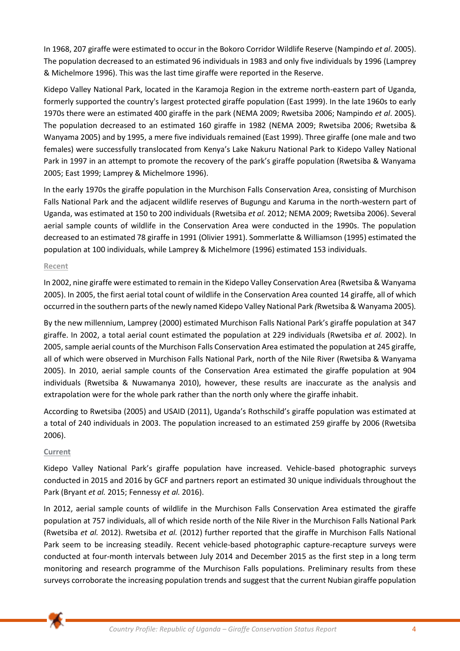In 1968, 207 giraffe were estimated to occur in the Bokoro Corridor Wildlife Reserve (Nampindo *et al*. 2005). The population decreased to an estimated 96 individuals in 1983 and only five individuals by 1996 (Lamprey & Michelmore 1996). This was the last time giraffe were reported in the Reserve.

Kidepo Valley National Park, located in the Karamoja Region in the extreme north-eastern part of Uganda, formerly supported the country's largest protected giraffe population (East 1999). In the late 1960s to early 1970s there were an estimated 400 giraffe in the park (NEMA 2009; Rwetsiba 2006; Nampindo *et al*. 2005). The population decreased to an estimated 160 giraffe in 1982 (NEMA 2009; Rwetsiba 2006; Rwetsiba & Wanyama 2005) and by 1995, a mere five individuals remained (East 1999). Three giraffe (one male and two females) were successfully translocated from Kenya's Lake Nakuru National Park to Kidepo Valley National Park in 1997 in an attempt to promote the recovery of the park's giraffe population (Rwetsiba & Wanyama 2005; East 1999; Lamprey & Michelmore 1996).

In the early 1970s the giraffe population in the Murchison Falls Conservation Area, consisting of Murchison Falls National Park and the adjacent wildlife reserves of Bugungu and Karuma in the north-western part of Uganda, was estimated at 150 to 200 individuals (Rwetsiba *et al.* 2012; NEMA 2009; Rwetsiba 2006). Several aerial sample counts of wildlife in the Conservation Area were conducted in the 1990s. The population decreased to an estimated 78 giraffe in 1991 (Olivier 1991). Sommerlatte & Williamson (1995) estimated the population at 100 individuals, while Lamprey & Michelmore (1996) estimated 153 individuals.

## **Recent**

In 2002, nine giraffe were estimated to remain in the Kidepo Valley Conservation Area (Rwetsiba & Wanyama 2005). In 2005, the first aerial total count of wildlife in the Conservation Area counted 14 giraffe, all of which occurred in the southern parts of the newly named Kidepo Valley National Park *(*Rwetsiba & Wanyama 2005)*.* 

By the new millennium, Lamprey (2000) estimated Murchison Falls National Park's giraffe population at 347 giraffe. In 2002, a total aerial count estimated the population at 229 individuals (Rwetsiba *et al.* 2002). In 2005, sample aerial counts of the Murchison Falls Conservation Area estimated the population at 245 giraffe, all of which were observed in Murchison Falls National Park, north of the Nile River (Rwetsiba & Wanyama 2005). In 2010, aerial sample counts of the Conservation Area estimated the giraffe population at 904 individuals (Rwetsiba & Nuwamanya 2010), however, these results are inaccurate as the analysis and extrapolation were for the whole park rather than the north only where the giraffe inhabit.

According to Rwetsiba (2005) and USAID (2011), Uganda's Rothschild's giraffe population was estimated at a total of 240 individuals in 2003. The population increased to an estimated 259 giraffe by 2006 (Rwetsiba 2006).

#### **Current**

Kidepo Valley National Park's giraffe population have increased. Vehicle-based photographic surveys conducted in 2015 and 2016 by GCF and partners report an estimated 30 unique individuals throughout the Park (Bryant *et al.* 2015; Fennessy *et al.* 2016).

In 2012, aerial sample counts of wildlife in the Murchison Falls Conservation Area estimated the giraffe population at 757 individuals, all of which reside north of the Nile River in the Murchison Falls National Park (Rwetsiba *et al.* 2012). Rwetsiba *et al.* (2012) further reported that the giraffe in Murchison Falls National Park seem to be increasing steadily. Recent vehicle-based photographic capture-recapture surveys were conducted at four-month intervals between July 2014 and December 2015 as the first step in a long term monitoring and research programme of the Murchison Falls populations. Preliminary results from these surveys corroborate the increasing population trends and suggest that the current Nubian giraffe population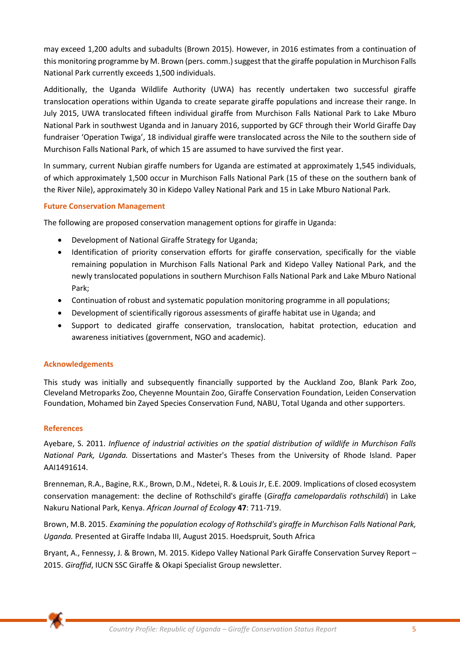may exceed 1,200 adults and subadults (Brown 2015). However, in 2016 estimates from a continuation of this monitoring programme by M. Brown (pers. comm.) suggest that the giraffe population in Murchison Falls National Park currently exceeds 1,500 individuals.

Additionally, the Uganda Wildlife Authority (UWA) has recently undertaken two successful giraffe translocation operations within Uganda to create separate giraffe populations and increase their range. In July 2015, UWA translocated fifteen individual giraffe from Murchison Falls National Park to Lake Mburo National Park in southwest Uganda and in January 2016, supported by GCF through their World Giraffe Day fundraiser 'Operation Twiga', 18 individual giraffe were translocated across the Nile to the southern side of Murchison Falls National Park, of which 15 are assumed to have survived the first year.

In summary, current Nubian giraffe numbers for Uganda are estimated at approximately 1,545 individuals, of which approximately 1,500 occur in Murchison Falls National Park (15 of these on the southern bank of the River Nile), approximately 30 in Kidepo Valley National Park and 15 in Lake Mburo National Park.

# **Future Conservation Management**

The following are proposed conservation management options for giraffe in Uganda:

- Development of National Giraffe Strategy for Uganda;
- Identification of priority conservation efforts for giraffe conservation, specifically for the viable remaining population in Murchison Falls National Park and Kidepo Valley National Park, and the newly translocated populations in southern Murchison Falls National Park and Lake Mburo National Park;
- Continuation of robust and systematic population monitoring programme in all populations;
- Development of scientifically rigorous assessments of giraffe habitat use in Uganda; and
- Support to dedicated giraffe conservation, translocation, habitat protection, education and awareness initiatives (government, NGO and academic).

#### **Acknowledgements**

This study was initially and subsequently financially supported by the Auckland Zoo, Blank Park Zoo, Cleveland Metroparks Zoo, Cheyenne Mountain Zoo, Giraffe Conservation Foundation, Leiden Conservation Foundation, Mohamed bin Zayed Species Conservation Fund, NABU, Total Uganda and other supporters.

#### **References**

Ayebare, S. 2011. *Influence of industrial activities on the spatial distribution of wildlife in Murchison Falls National Park, Uganda.* Dissertations and Master's Theses from the University of Rhode Island. Paper AAI1491614.

Brenneman, R.A., Bagine, R.K., Brown, D.M., Ndetei, R. & Louis Jr, E.E. 2009. Implications of closed ecosystem conservation management: the decline of Rothschild's giraffe (*Giraffa camelopardalis rothschildi*) in Lake Nakuru National Park, Kenya. *African Journal of Ecology* **47**: 711-719.

Brown, M.B. 2015. *Examining the population ecology of Rothschild's giraffe in Murchison Falls National Park, Uganda.* Presented at Giraffe Indaba III, August 2015. Hoedspruit, South Africa

Bryant, A., Fennessy, J. & Brown, M. 2015. Kidepo Valley National Park Giraffe Conservation Survey Report – 2015. *Giraffid*, IUCN SSC Giraffe & Okapi Specialist Group newsletter.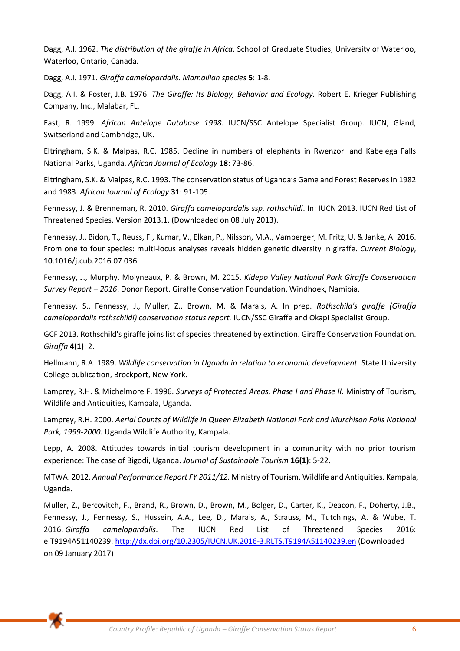Dagg, A.I. 1962. *The distribution of the giraffe in Africa*. School of Graduate Studies, University of Waterloo, Waterloo, Ontario, Canada.

Dagg, A.I. 1971. *Giraffa camelopardalis*. *Mamallian species* **5**: 1-8.

Dagg, A.I. & Foster, J.B. 1976. *The Giraffe: Its Biology, Behavior and Ecology.* Robert E. Krieger Publishing Company, Inc., Malabar, FL.

East, R. 1999. *African Antelope Database 1998.* IUCN/SSC Antelope Specialist Group. IUCN, Gland, Switserland and Cambridge, UK.

Eltringham, S.K. & Malpas, R.C. 1985. Decline in numbers of elephants in Rwenzori and Kabelega Falls National Parks, Uganda. *African Journal of Ecology* **18**: 73-86.

Eltringham, S.K. & Malpas, R.C. 1993. The conservation status of Uganda's Game and Forest Reserves in 1982 and 1983. *African Journal of Ecology* **31**: 91-105.

Fennessy, J. & Brenneman, R. 2010. *Giraffa camelopardalis ssp. rothschildi*. In: IUCN 2013. IUCN Red List of Threatened Species. Version 2013.1. (Downloaded on 08 July 2013).

Fennessy, J., Bidon, T., Reuss, F., Kumar, V., Elkan, P., Nilsson, M.A., Vamberger, M. Fritz, U. & Janke, A. 2016. From one to four species: multi-locus analyses reveals hidden genetic diversity in giraffe. *Current Biology*, **10**.1016/j.cub.2016.07.036

Fennessy, J., Murphy, Molyneaux, P. & Brown, M. 2015. *Kidepo Valley National Park Giraffe Conservation Survey Report – 2016*. Donor Report. Giraffe Conservation Foundation, Windhoek, Namibia.

Fennessy, S., Fennessy, J., Muller, Z., Brown, M. & Marais, A. In prep. *Rothschild's giraffe (Giraffa camelopardalis rothschildi) conservation status report.* IUCN/SSC Giraffe and Okapi Specialist Group.

GCF 2013. Rothschild's giraffe joins list of species threatened by extinction. Giraffe Conservation Foundation. *Giraffa* **4(1)**: 2.

Hellmann, R.A. 1989. *Wildlife conservation in Uganda in relation to economic development.* State University College publication, Brockport, New York.

Lamprey, R.H. & Michelmore F. 1996. *Surveys of Protected Areas, Phase I and Phase II.* Ministry of Tourism, Wildlife and Antiquities, Kampala, Uganda.

Lamprey, R.H. 2000. *Aerial Counts of Wildlife in Queen Elizabeth National Park and Murchison Falls National Park, 1999-2000.* Uganda Wildlife Authority, Kampala.

Lepp, A. 2008. Attitudes towards initial tourism development in a community with no prior tourism experience: The case of Bigodi, Uganda. *Journal of Sustainable Tourism* **16(1)**: 5-22.

MTWA. 2012. *Annual Performance Report FY 2011/12.* Ministry of Tourism, Wildlife and Antiquities. Kampala, Uganda.

Muller, Z., Bercovitch, F., Brand, R., Brown, D., Brown, M., Bolger, D., Carter, K., Deacon, F., Doherty, J.B., Fennessy, J., Fennessy, S., Hussein, A.A., Lee, D., Marais, A., Strauss, M., Tutchings, A. & Wube, T. 2016. *Giraffa camelopardalis*. The IUCN Red List of Threatened Species 2016: e.T9194A51140239.<http://dx.doi.org/10.2305/IUCN.UK.2016-3.RLTS.T9194A51140239.en>(Downloaded on 09 January 2017)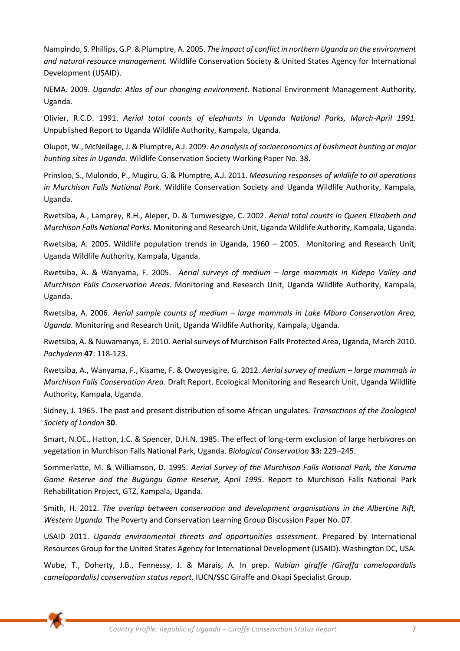Nampindo, S. Phillips, G.P. & Plumptre, A. 2005. *The impact of conflict in northern Uganda on the environment and natural resource management.* Wildlife Conservation Society & United States Agency for International Development (USAID).

NEMA. 2009. *Uganda: Atlas of our changing environment.* National Environment Management Authority, Uganda.

Olivier, R.C.D. 1991. *Aerial total counts of elephants in Uganda National Parks, March-April 1991.*  Unpublished Report to Uganda Wildlife Authority, Kampala, Uganda.

Olupot, W., McNeilage, J. & Plumptre, A.J. 2009. *An analysis of socioeconomics of bushmeat hunting at major hunting sites in Uganda.* Wildlife Conservation Society Working Paper No. 38.

Prinsloo, S., Mulondo, P., Mugiru, G. & Plumptre, A.J. 2011. *Measuring responses of wildlife to oil operations in Murchison Falls National Park.* Wildlife Conservation Society and Uganda Wildlife Authority, Kampala, Uganda.

Rwetsiba, A., Lamprey, R.H., Aleper, D. & Tumwesigye, C. 2002. *Aerial total counts in Queen Elizabeth and Murchison Falls National Parks.* Monitoring and Research Unit, Uganda Wildlife Authority, Kampala, Uganda.

Rwetsiba, A. 2005. Wildlife population trends in Uganda, 1960 – 2005. Monitoring and Research Unit, Uganda Wildlife Authority, Kampala, Uganda.

Rwetsiba, A. & Wanyama, F. 2005. *Aerial surveys of medium – large mammals in Kidepo Valley and Murchison Falls Conservation Areas.* Monitoring and Research Unit, Uganda Wildlife Authority, Kampala, Uganda.

Rwetsiba, A. 2006. *Aerial sample counts of medium – large mammals in Lake Mburo Conservation Area, Uganda.* Monitoring and Research Unit, Uganda Wildlife Authority, Kampala, Uganda.

Rwetsiba, A. & Nuwamanya, E. 2010. Aerial surveys of Murchison Falls Protected Area, Uganda, March 2010. *Pachyderm* **47**: 118-123.

Rwetsiba, A., Wanyama, F., Kisame, F. & Owoyesigire, G. 2012. *Aerial survey of medium – large mammals in Murchison Falls Conservation Area.* Draft Report. Ecological Monitoring and Research Unit, Uganda Wildlife Authority, Kampala, Uganda.

Sidney, J. 1965. The past and present distribution of some African ungulates. *Transactions of the Zoological Society of London* **30**.

Smart, N.OE., Hatton, J.C. & Spencer, D.H.N. 1985. The effect of long-term exclusion of large herbivores on vegetation in Murchison Falls National Park, Uganda. *Biological Conservation* **33:** 229–245.

Sommerlatte, M. & Williamson, D. 1995. *Aerial Survey of the Murchison Falls National Park, the Karuma Game Reserve and the Bugungu Game Reserve, April 1995*. Report to Murchison Falls National Park Rehabilitation Project, GTZ, Kampala, Uganda.

Smith, H. 2012. *The overlap between conservation and development organisations in the Albertine Rift, Western Uganda.* The Poverty and Conservation Learning Group Discussion Paper No. 07.

USAID 2011. *Uganda environmental threats and opportunities assessment.* Prepared by International Resources Group for the United States Agency for International Development (USAID). Washington DC, USA.

Wube, T., Doherty, J.B., Fennessy, J. & Marais, A. In prep. *Nubian giraffe (Giraffa camelopardalis camelopardalis) conservation status report.* IUCN/SSC Giraffe and Okapi Specialist Group.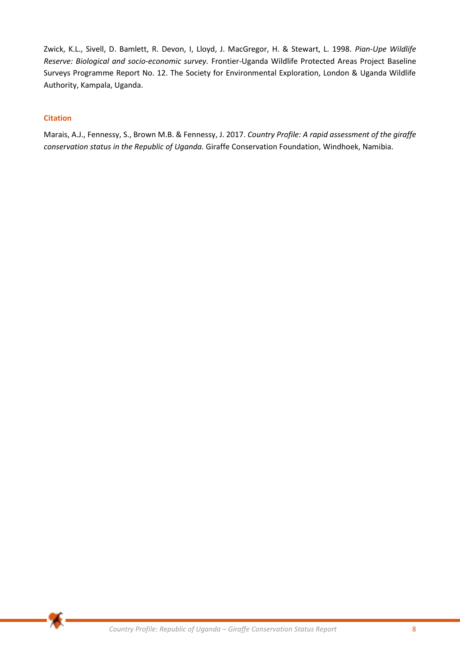Zwick, K.L., Sivell, D. Bamlett, R. Devon, I, Lloyd, J. MacGregor, H. & Stewart, L. 1998. *Pian-Upe Wildlife Reserve: Biological and socio-economic survey.* Frontier-Uganda Wildlife Protected Areas Project Baseline Surveys Programme Report No. 12. The Society for Environmental Exploration, London & Uganda Wildlife Authority, Kampala, Uganda.

# **Citation**

Marais, A.J., Fennessy, S., Brown M.B. & Fennessy, J. 2017. *Country Profile: A rapid assessment of the giraffe conservation status in the Republic of Uganda.* Giraffe Conservation Foundation, Windhoek, Namibia.